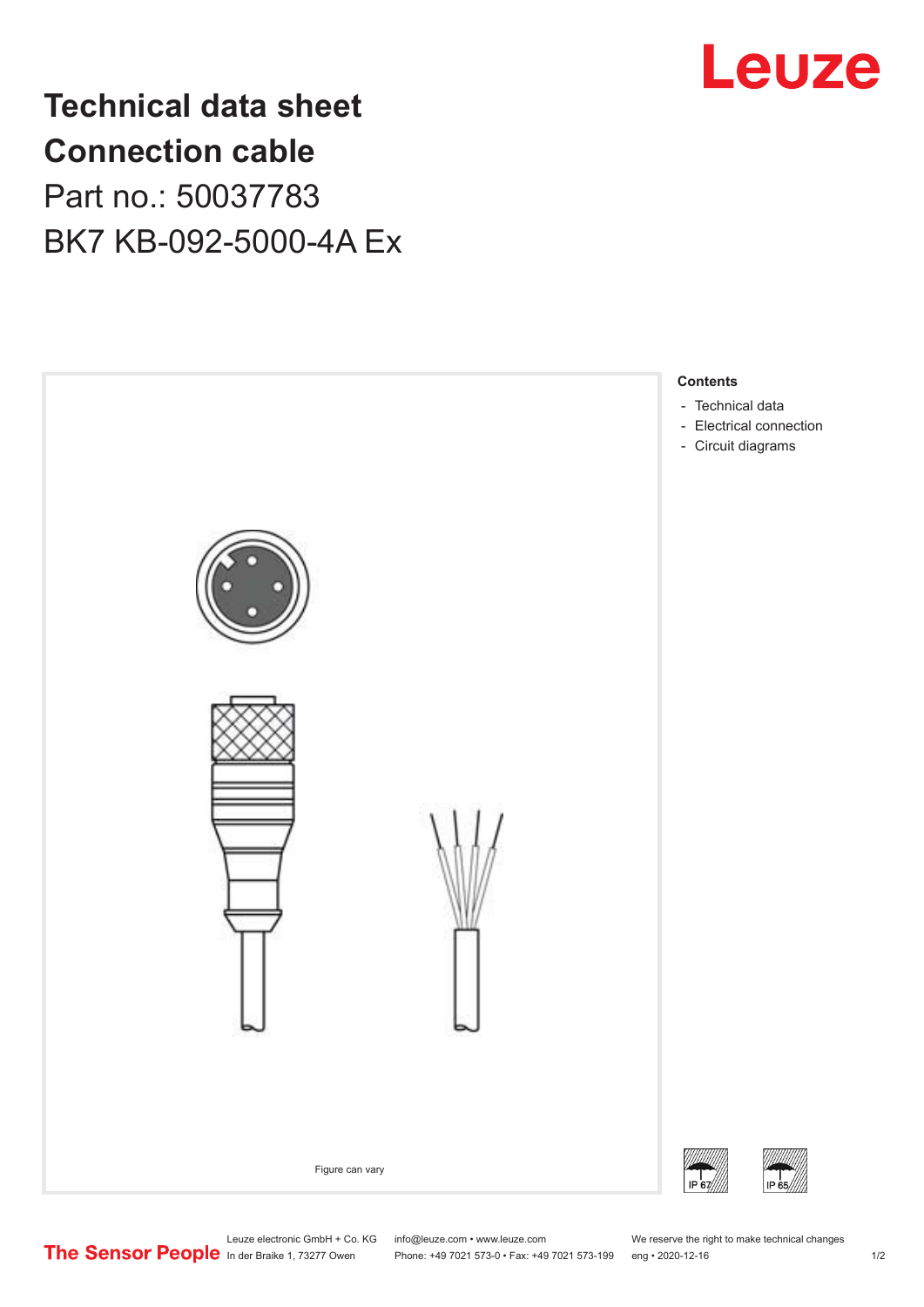

## **Technical data sheet Connection cable** Part no.: 50037783 BK7 KB-092-5000-4A Ex



Leuze electronic GmbH + Co. KG info@leuze.com • www.leuze.com We reserve the right to make technical changes<br>
The Sensor People in der Braike 1, 73277 Owen Phone: +49 7021 573-0 • Fax: +49 7021 573-199 eng • 2020-12-16

Phone: +49 7021 573-0 • Fax: +49 7021 573-199 eng • 2020-12-16